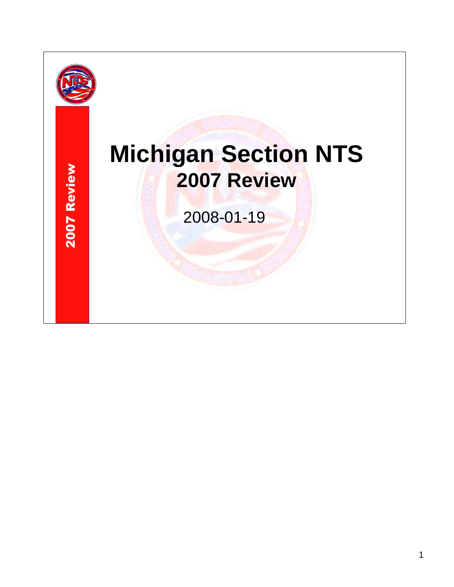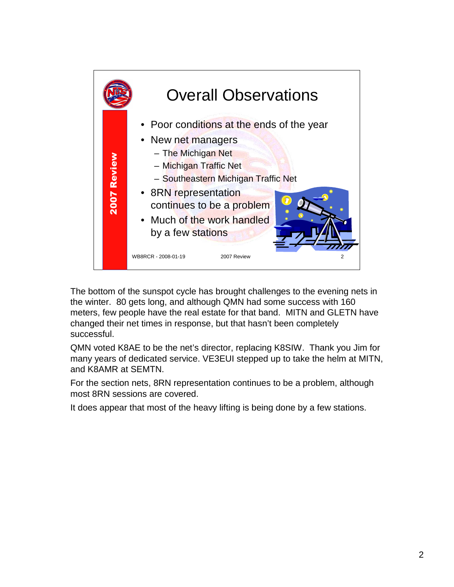

The bottom of the sunspot cycle has brought challenges to the evening nets in the winter. 80 gets long, and although QMN had some success with 160 meters, few people have the real estate for that band. MITN and GLETN have changed their net times in response, but that hasn't been completely successful.

QMN voted K8AE to be the net's director, replacing K8SIW. Thank you Jim for many years of dedicated service. VE3EUI stepped up to take the helm at MITN, and K8AMR at SEMTN.

For the section nets, 8RN representation continues to be a problem, although most 8RN sessions are covered.

It does appear that most of the heavy lifting is being done by a few stations.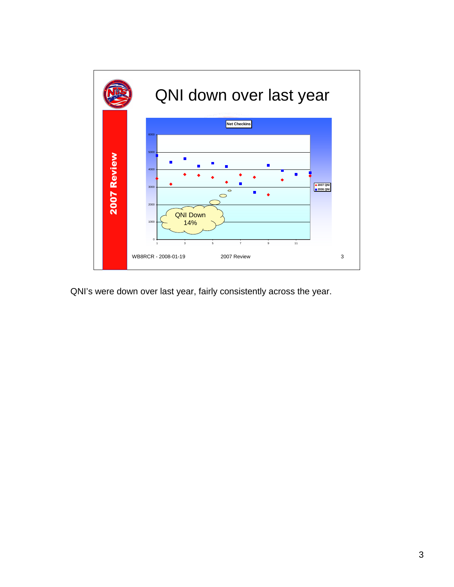

QNI's were down over last year, fairly consistently across the year.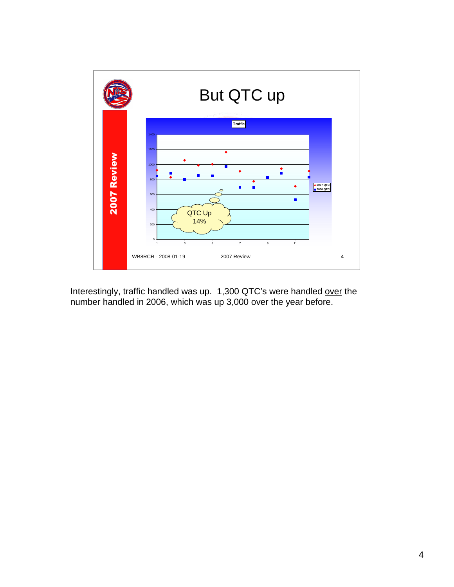

Interestingly, traffic handled was up. 1,300 QTC's were handled over the number handled in 2006, which was up 3,000 over the year before.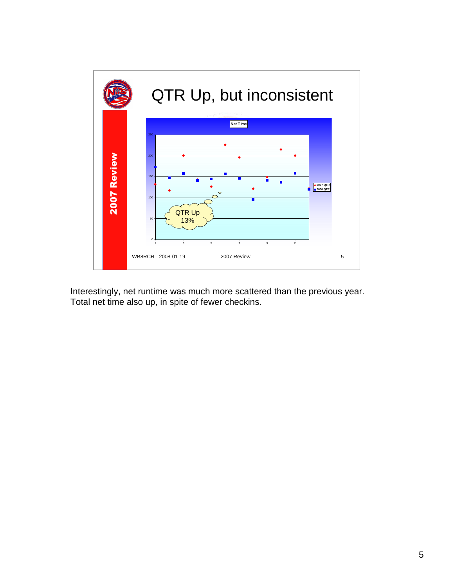

Interestingly, net runtime was much more scattered than the previous year. Total net time also up, in spite of fewer checkins.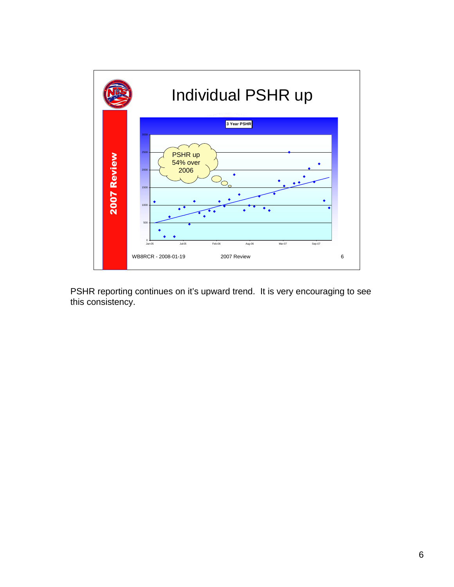

PSHR reporting continues on it's upward trend. It is very encouraging to see this consistency.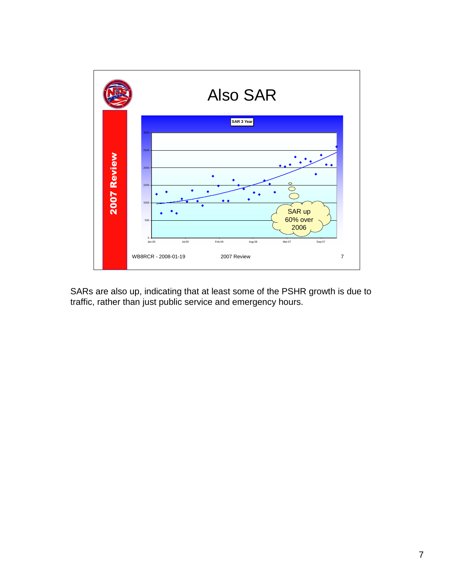

SARs are also up, indicating that at least some of the PSHR growth is due to traffic, rather than just public service and emergency hours.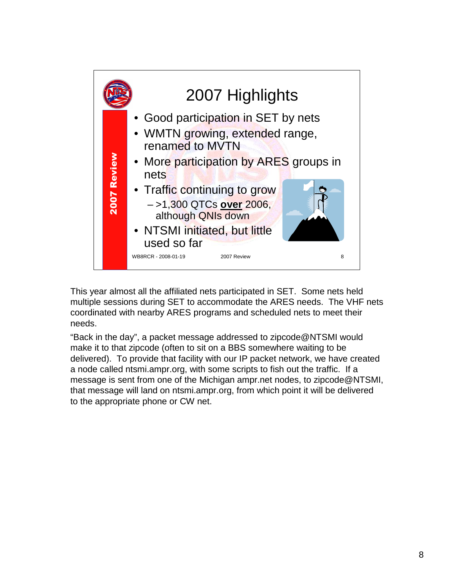

This year almost all the affiliated nets participated in SET. Some nets held multiple sessions during SET to accommodate the ARES needs. The VHF nets coordinated with nearby ARES programs and scheduled nets to meet their needs.

"Back in the day", a packet message addressed to zipcode@NTSMI would make it to that zipcode (often to sit on a BBS somewhere waiting to be delivered). To provide that facility with our IP packet network, we have created a node called ntsmi.ampr.org, with some scripts to fish out the traffic. If a message is sent from one of the Michigan ampr.net nodes, to zipcode@NTSMI, that message will land on ntsmi.ampr.org, from which point it will be delivered to the appropriate phone or CW net.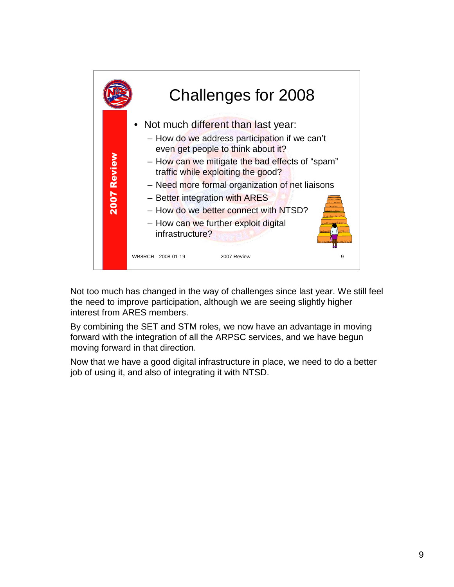

Not too much has changed in the way of challenges since last year. We still feel the need to improve participation, although we are seeing slightly higher interest from ARES members.

By combining the SET and STM roles, we now have an advantage in moving forward with the integration of all the ARPSC services, and we have begun moving forward in that direction.

Now that we have a good digital infrastructure in place, we need to do a better job of using it, and also of integrating it with NTSD.